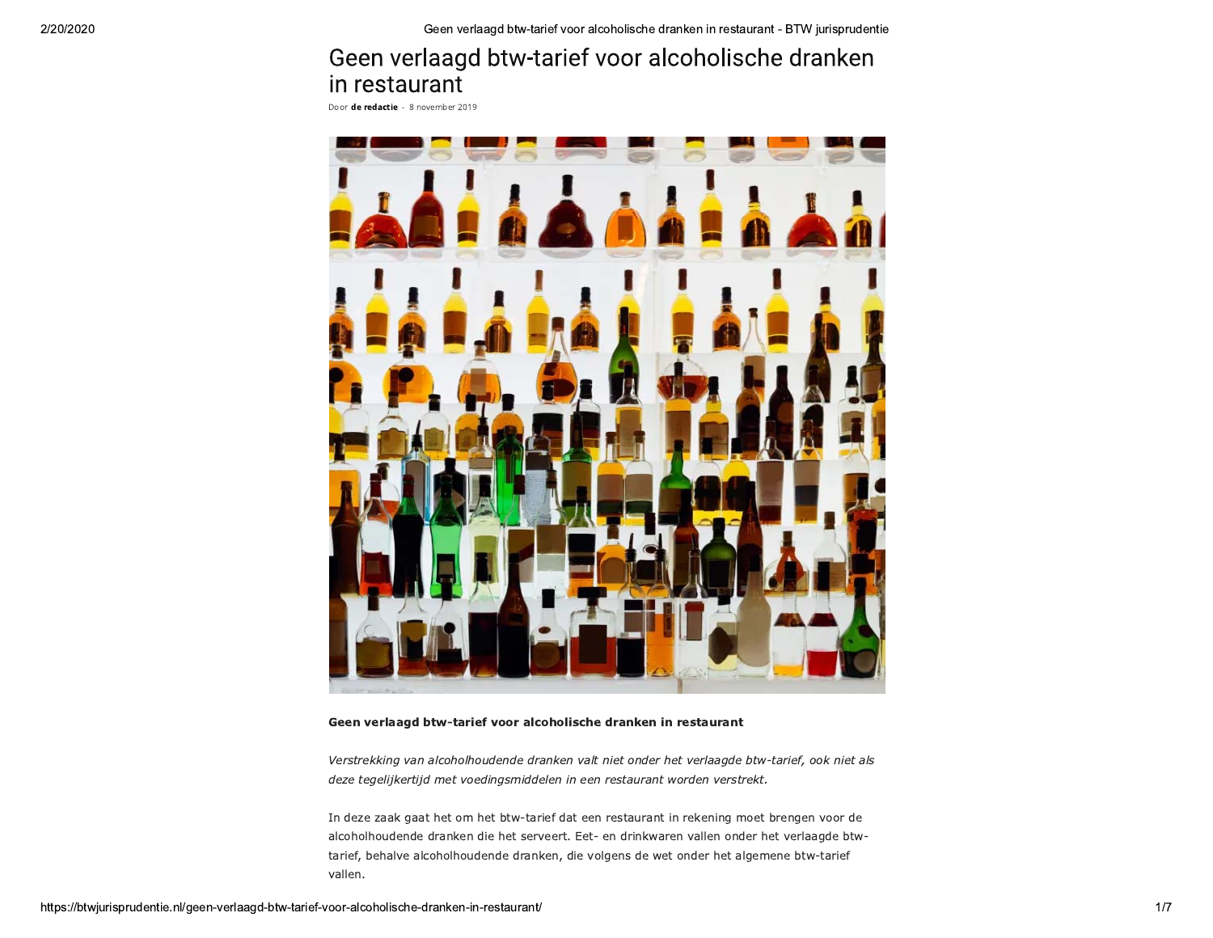# Geen verlaagd btw-tarief voor alcoholische dranken in restaurant

Door de redactie - 8 november 2019



#### Geen verlaagd btw-tarief voor alcoholische dranken in restaurant

Verstrekking van alcoholhoudende dranken valt niet onder het verlaagde btw-tarief, ook niet als deze tegelijkertijd met voedingsmiddelen in een restaurant worden verstrekt.

In deze zaak gaat het om het btw-tarief dat een restaurant in rekening moet brengen voor de alcoholhoudende dranken die het serveert. Eet- en drinkwaren vallen onder het verlaagde btwtarief, behalve alcoholhoudende dranken, die volgens de wet onder het algemene btw-tarief vallen.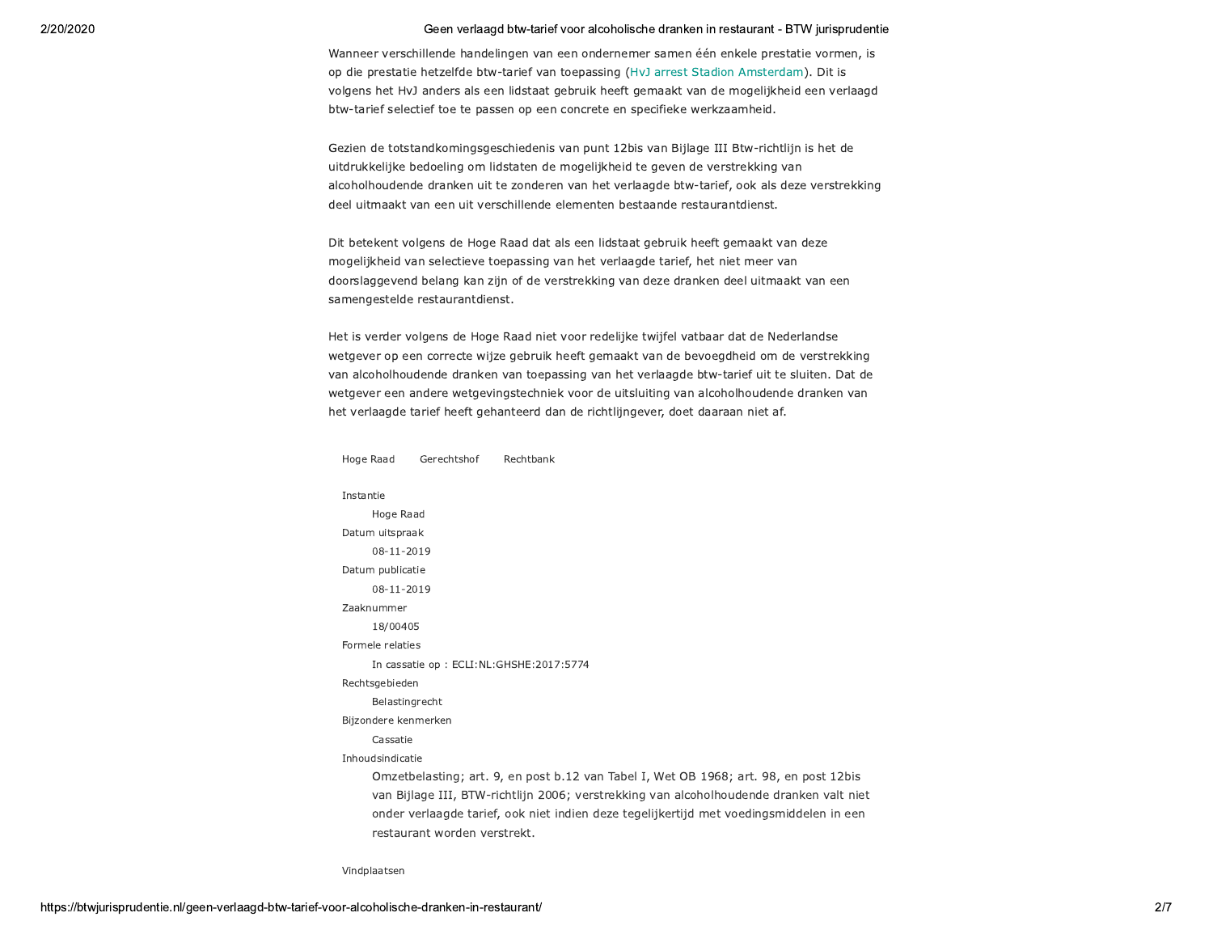Wanneer verschillende handelingen van een ondernemer samen één enkele prestatie vormen, is op die prestatie hetzelfde btw-tarief van toepassing (HvJ arrest Stadion Amsterdam). Dit is volgens het HvJ anders als een lidstaat gebruik heeft gemaakt van de mogelijkheid een verlaagd btw-tarief selectief toe te passen op een concrete en specifieke werkzaamheid.

Gezien de totstandkomingsgeschiedenis van punt 12bis van Bijlage III Btw-richtlijn is het de uitdrukkelijke bedoeling om lidstaten de mogelijkheid te geven de verstrekking van alcoholhoudende dranken uit te zonderen van het verlaagde btw-tarief, ook als deze verstrekking deel uitmaakt van een uit verschillende elementen bestaande restaurantdienst.

Dit betekent volgens de Hoge Raad dat als een lidstaat gebruik heeft gemaakt van deze mogelijkheid van selectieve toepassing van het verlaagde tarief, het niet meer van doorslaggevend belang kan zijn of de verstrekking van deze dranken deel uitmaakt van een samengestelde restaurantdienst.

Het is verder volgens de Hoge Raad niet voor redelijke twijfel vatbaar dat de Nederlandse wetgever op een correcte wijze gebruik heeft gemaakt van de bevoegdheid om de verstrekking van alcoholhoudende dranken van toepassing van het verlaagde btw-tarief uit te sluiten. Dat de wetgever een andere wetgevingstechniek voor de uitsluiting van alcoholhoudende dranken van het verlaagde tarief heeft gehanteerd dan de richtlijngever, doet daaraan niet af.

Instantie Hoge Raad Datum uitspraak 08-11-2019 Datum publicatie 08-11-2019 Zaaknummer 18/00405 Formele relaties In cassatie op : ECLI:NL:GHSHE:2017:5774 Rechtsgebieden Belastingrecht Bijzondere kenmerken Cassatie Inhoudsindicatie Omzetbelasting; art. 9, en post b.12 van Tabel I, Wet OB 1968; art. 98, en post 12bis van Bijlage III, BTW-richtlijn 2006; verstrekking van alcoholhoudende dranken valt niet onder verlaagde tarief, ook niet indien deze tegelijkertijd met voedingsmiddelen in een restaurant worden verstrekt.

Rechtbank

Hoge Raad

Gerechtshof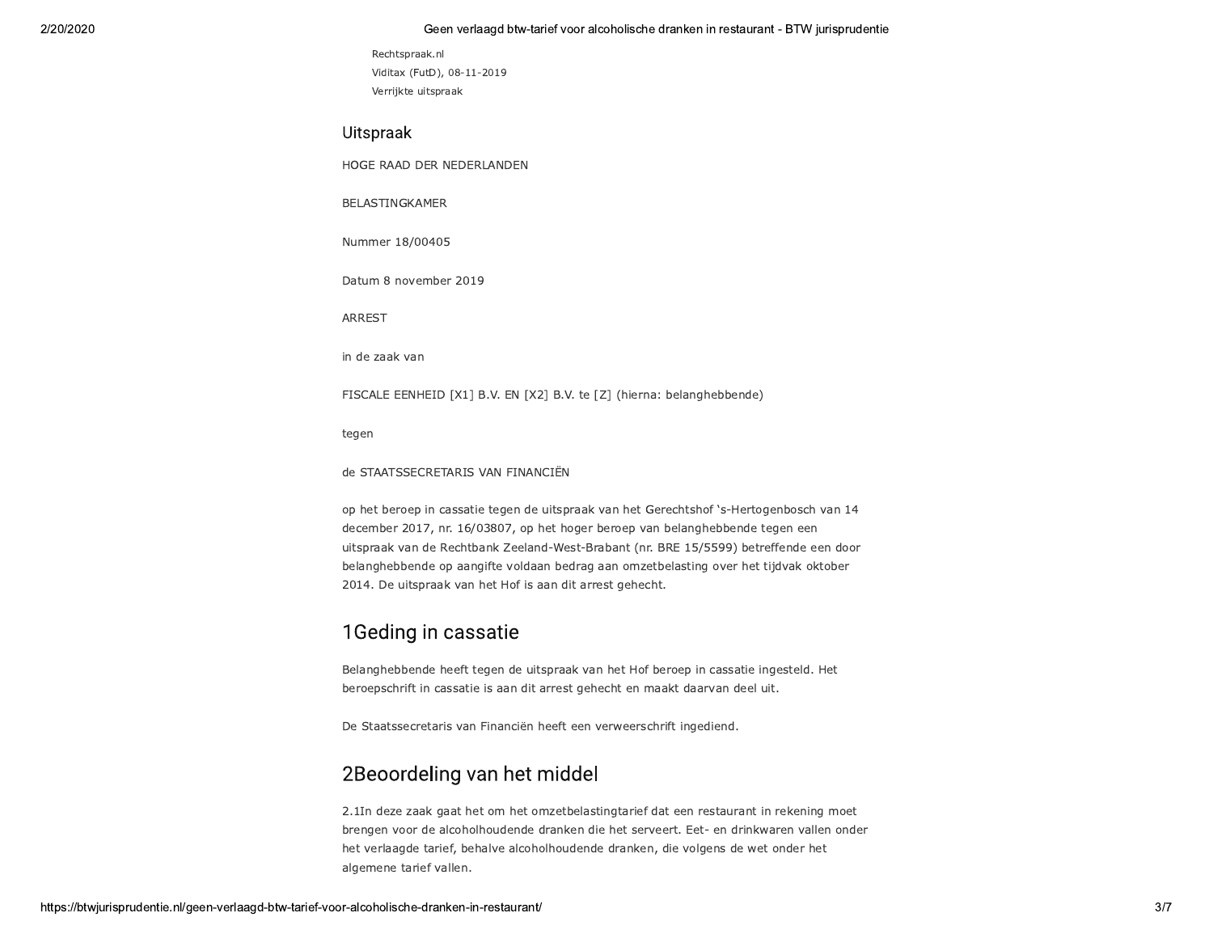```
Rechtspraak.nl
Viditax (FutD), 08-11-2019
Verrijkte uitspraak
```
### Uitspraak

HOGE RAAD DER NEDERLANDEN

BELASTINGKAMER

Nummer 18/00405

Datum 8 november 2019

**ARREST** 

in de zaak van

FISCALE EENHEID [X1] B.V. EN [X2] B.V. te [Z] (hierna: belanghebbende)

tegen

de STAATSSECRETARIS VAN FINANCIËN

op het beroep in cassatie tegen de uitspraak van het Gerechtshof 's-Hertogenbosch van 14 december 2017, nr. 16/03807, op het hoger beroep van belanghebbende tegen een uitspraak van de Rechtbank Zeeland-West-Brabant (nr. BRE 15/5599) betreffende een door belanghebbende op aangifte voldaan bedrag aan omzetbelasting over het tijdvak oktober 2014. De uitspraak van het Hof is aan dit arrest gehecht.

# 1 Geding in cassatie

Belanghebbende heeft tegen de uitspraak van het Hof beroep in cassatie ingesteld. Het beroepschrift in cassatie is aan dit arrest gehecht en maakt daarvan deel uit.

De Staatssecretaris van Financiën heeft een verweerschrift ingediend.

# 2Beoordeling van het middel

2.1In deze zaak gaat het om het omzetbelastingtarief dat een restaurant in rekening moet brengen voor de alcoholhoudende dranken die het serveert. Eet- en drinkwaren vallen onder het verlaagde tarief, behalve alcoholhoudende dranken, die volgens de wet onder het algemene tarief vallen.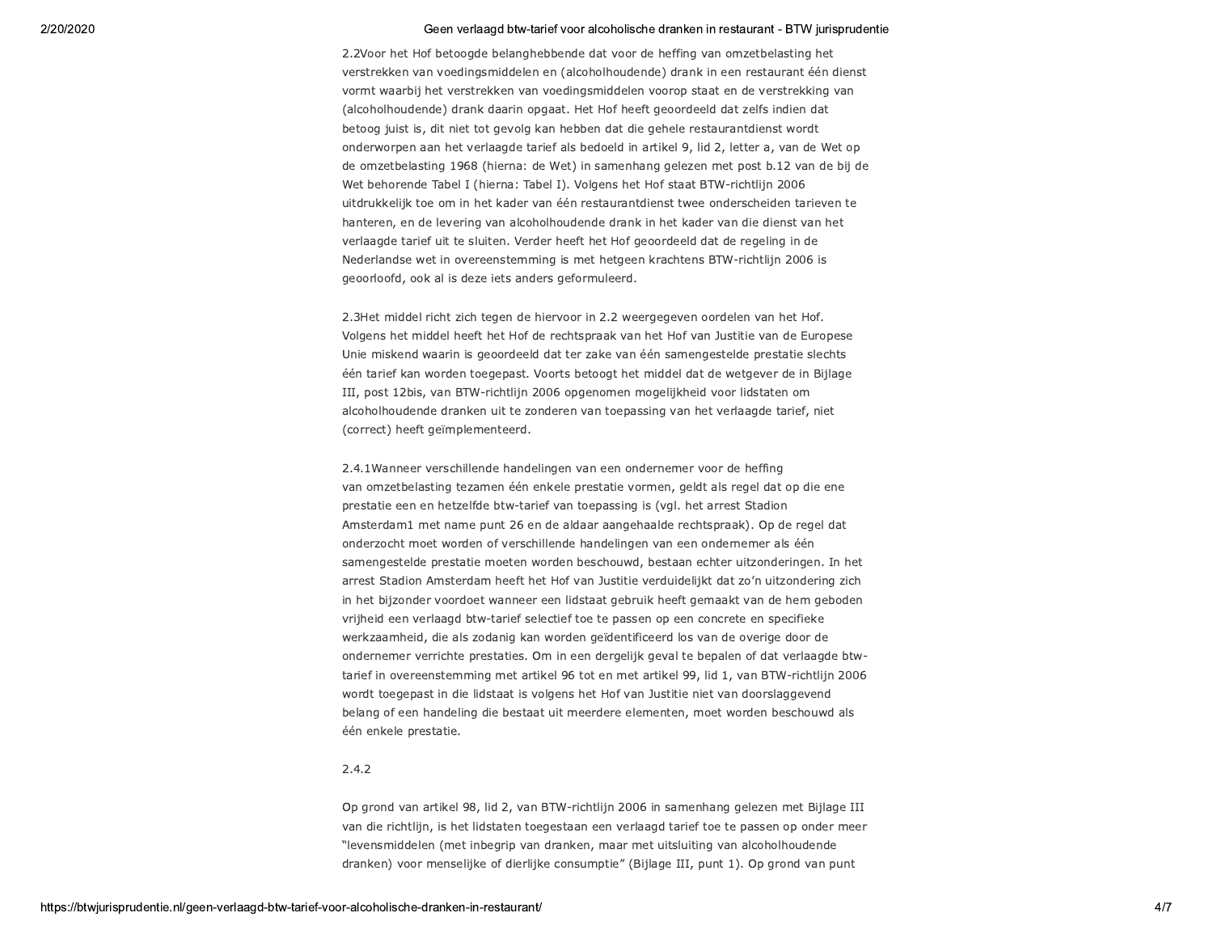2.2Voor het Hof betoogde belanghebbende dat voor de heffing van omzetbelasting het verstrekken van voedingsmiddelen en (alcoholhoudende) drank in een restaurant één dienst vormt waarbij het verstrekken van voedingsmiddelen voorop staat en de verstrekking van (alcoholhoudende) drank daarin opgaat. Het Hof heeft geoordeeld dat zelfs indien dat betoog juist is, dit niet tot gevolg kan hebben dat die gehele restaurantdienst wordt onderworpen aan het verlaagde tarief als bedoeld in artikel 9, lid 2, letter a, van de Wet op de omzetbelasting 1968 (hierna: de Wet) in samenhang gelezen met post b.12 van de bij de Wet behorende Tabel I (hierna: Tabel I). Volgens het Hof staat BTW-richtlijn 2006 uitdrukkelijk toe om in het kader van één restaurantdienst twee onderscheiden tarieven te hanteren, en de levering van alcoholhoudende drank in het kader van die dienst van het verlaagde tarief uit te sluiten. Verder heeft het Hof geoordeeld dat de regeling in de Nederlandse wet in overeenstemming is met hetgeen krachtens BTW-richtlijn 2006 is geoorloofd, ook al is deze iets anders geformuleerd.

2.3Het middel richt zich tegen de hiervoor in 2.2 weergegeven oordelen van het Hof. Volgens het middel heeft het Hof de rechtspraak van het Hof van Justitie van de Europese Unie miskend waarin is geoordeeld dat ter zake van één samengestelde prestatie slechts één tarief kan worden toegepast. Voorts betoogt het middel dat de wetgever de in Bijlage III, post 12bis, van BTW-richtlijn 2006 opgenomen mogelijkheid voor lidstaten om alcoholhoudende dranken uit te zonderen van toepassing van het verlaagde tarief, niet (correct) heeft geïmplementeerd.

2.4.1Wanneer verschillende handelingen van een ondernemer voor de heffing van omzetbelasting tezamen één enkele prestatie vormen, geldt als regel dat op die ene prestatie een en hetzelfde btw-tarief van toepassing is (vgl. het arrest Stadion Amsterdam1 met name punt 26 en de aldaar aangehaalde rechtspraak). Op de regel dat onderzocht moet worden of verschillende handelingen van een ondernemer als één samengestelde prestatie moeten worden beschouwd, bestaan echter uitzonderingen. In het arrest Stadion Amsterdam heeft het Hof van Justitie verduidelijkt dat zo'n uitzondering zich in het bijzonder voordoet wanneer een lidstaat gebruik heeft gemaakt van de hem geboden vrijheid een verlaagd btw-tarief selectief toe te passen op een concrete en specifieke werkzaamheid, die als zodanig kan worden geïdentificeerd los van de overige door de ondernemer verrichte prestaties. Om in een dergelijk geval te bepalen of dat verlaagde btwtarief in overeenstemming met artikel 96 tot en met artikel 99, lid 1, van BTW-richtlijn 2006 wordt toegepast in die lidstaat is volgens het Hof van Justitie niet van doorslaggevend belang of een handeling die bestaat uit meerdere elementen, moet worden beschouwd als één enkele prestatie.

### $2.4.2$

Op grond van artikel 98, lid 2, van BTW-richtlijn 2006 in samenhang gelezen met Bijlage III van die richtlijn, is het lidstaten toegestaan een verlaagd tarief toe te passen op onder meer "levensmiddelen (met inbegrip van dranken, maar met uitsluiting van alcoholhoudende dranken) voor menselijke of dierlijke consumptie" (Bijlage III, punt 1). Op grond van punt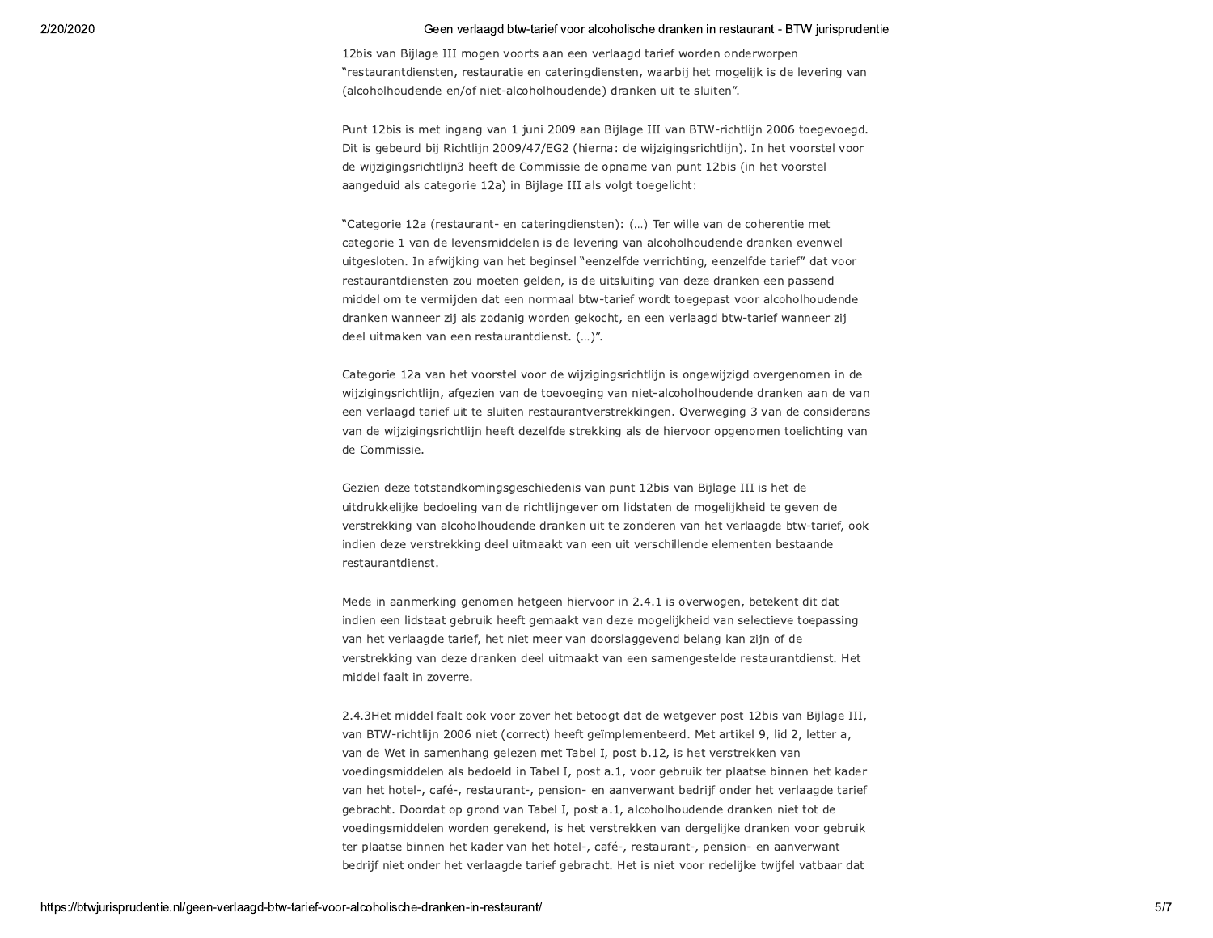12bis van Bijlage III mogen voorts aan een verlaagd tarief worden onderworpen "restaurantdiensten, restauratie en cateringdiensten, waarbij het mogelijk is de levering van (alcoholhoudende en/of niet-alcoholhoudende) dranken uit te sluiten".

Punt 12bis is met ingang van 1 juni 2009 aan Bijlage III van BTW-richtlijn 2006 toegevoegd. Dit is gebeurd bij Richtlijn 2009/47/EG2 (hierna: de wijzigingsrichtlijn). In het voorstel voor de wijzigingsrichtlijn3 heeft de Commissie de opname van punt 12bis (in het voorstel aangeduid als categorie 12a) in Bijlage III als volgt toegelicht:

"Categorie 12a (restaurant- en cateringdiensten): (...) Ter wille van de coherentie met categorie 1 van de levensmiddelen is de levering van alcoholhoudende dranken evenwel uitgesloten. In afwijking van het beginsel "eenzelfde verrichting, eenzelfde tarief" dat voor restaurantdiensten zou moeten gelden, is de uitsluiting van deze dranken een passend middel om te vermijden dat een normaal btw-tarief wordt toegepast voor alcoholhoudende dranken wanneer zij als zodanig worden gekocht, en een verlaagd btw-tarief wanneer zij deel uitmaken van een restaurantdienst. (...)".

Categorie 12a van het voorstel voor de wijzigingsrichtlijn is ongewijzigd overgenomen in de wijzigingsrichtlijn, afgezien van de toevoeging van niet-alcoholhoudende dranken aan de van een verlaagd tarief uit te sluiten restaurantverstrekkingen. Overweging 3 van de considerans van de wijzigingsrichtlijn heeft dezelfde strekking als de hiervoor opgenomen toelichting van de Commissie.

Gezien deze totstandkomingsgeschiedenis van punt 12bis van Bijlage III is het de uitdrukkelijke bedoeling van de richtlijngever om lidstaten de mogelijkheid te geven de verstrekking van alcoholhoudende dranken uit te zonderen van het verlaagde btw-tarief, ook indien deze verstrekking deel uitmaakt van een uit verschillende elementen bestaande restaurantdienst.

Mede in aanmerking genomen hetgeen hiervoor in 2.4.1 is overwogen, betekent dit dat indien een lidstaat gebruik heeft gemaakt van deze mogelijkheid van selectieve toepassing van het verlaagde tarief, het niet meer van doorslaggevend belang kan zijn of de verstrekking van deze dranken deel uitmaakt van een samengestelde restaurantdienst. Het middel faalt in zoverre.

2.4.3Het middel faalt ook voor zover het betoogt dat de wetgever post 12bis van Bijlage III, van BTW-richtlijn 2006 niet (correct) heeft geïmplementeerd. Met artikel 9, lid 2, letter a, van de Wet in samenhang gelezen met Tabel I, post b.12, is het verstrekken van voedingsmiddelen als bedoeld in Tabel I, post a.1, voor gebruik ter plaatse binnen het kader van het hotel-, café-, restaurant-, pension- en aanverwant bedrijf onder het verlaagde tarief gebracht. Doordat op grond van Tabel I, post a.1, alcoholhoudende dranken niet tot de voedingsmiddelen worden gerekend, is het verstrekken van dergelijke dranken voor gebruik ter plaatse binnen het kader van het hotel-, café-, restaurant-, pension- en aanverwant bedrijf niet onder het verlaagde tarief gebracht. Het is niet voor redelijke twijfel vatbaar dat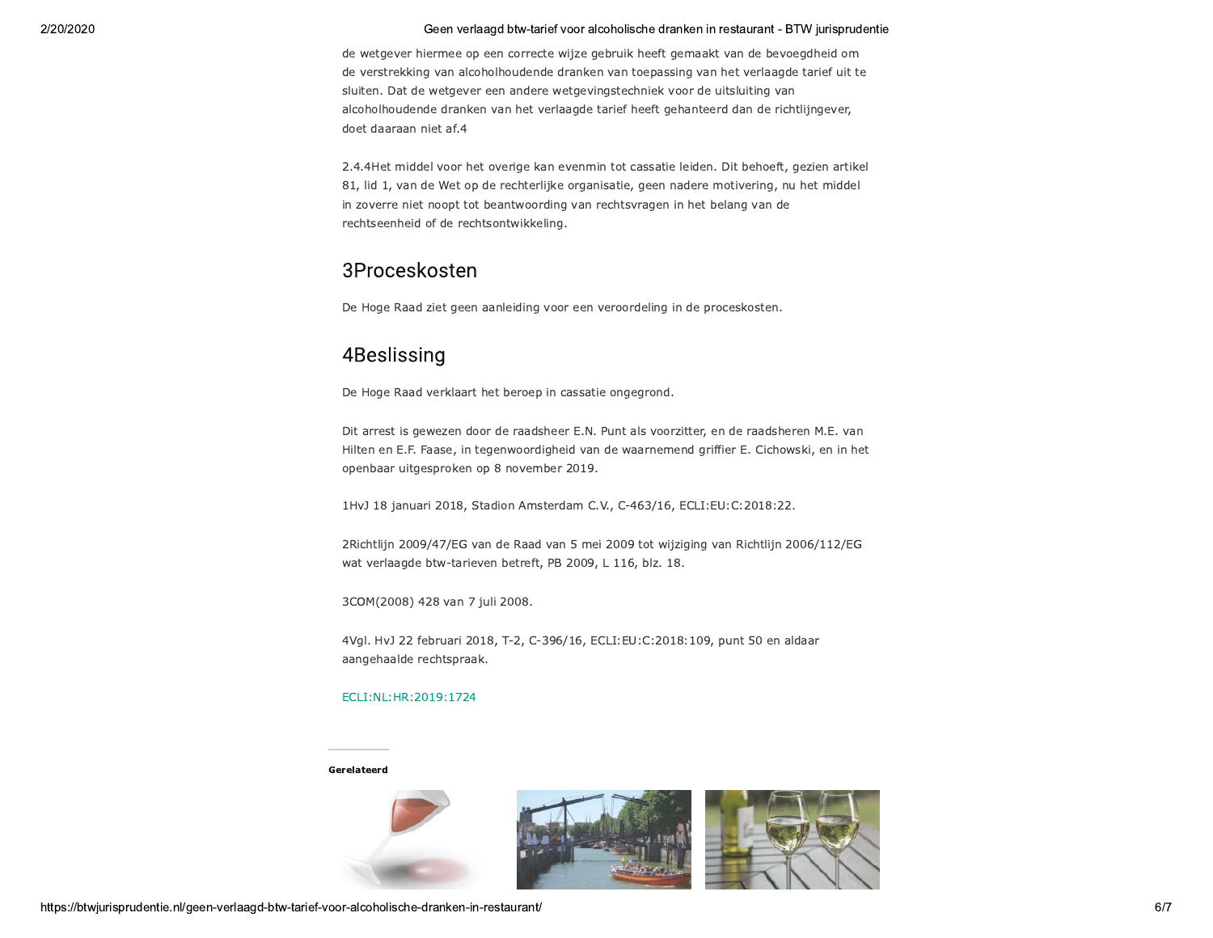de wetgever hiermee op een correcte wijze gebruik heeft gemaakt van de bevoegdheid om de verstrekking van alcoholhoudende dranken van toepassing van het verlaagde tarief uit te sluiten. Dat de wetgever een andere wetgevingstechniek voor de uitsluiting van alcoholhoudende dranken van het verlaagde tarief heeft gehanteerd dan de richtlijngever, doet daaraan niet af.4

2.4.4Het middel voor het overige kan evenmin tot cassatie leiden. Dit behoeft, gezien artikel 81, lid 1, van de Wet op de rechterlijke organisatie, geen nadere motivering, nu het middel in zoverre niet noopt tot beantwoording van rechtsvragen in het belang van de rechtseenheid of de rechtsontwikkeling.

## 3Proceskosten

De Hoge Raad ziet geen aanleiding voor een veroordeling in de proceskosten.

# 4Beslissing

De Hoge Raad verklaart het beroep in cassatie ongegrond.

Dit arrest is gewezen door de raadsheer E.N. Punt als voorzitter, en de raadsheren M.E. van Hilten en E.F. Faase, in tegenwoordigheid van de waarnemend griffier E. Cichowski, en in het openbaar uitgesproken op 8 november 2019.

1HvJ 18 januari 2018, Stadion Amsterdam C.V., C-463/16, ECLI:EU:C:2018:22.

2Richtlijn 2009/47/EG van de Raad van 5 mei 2009 tot wijziging van Richtlijn 2006/112/EG wat verlaagde btw-tarieven betreft, PB 2009, L 116, blz. 18.

3COM(2008) 428 van 7 juli 2008.

4Vgl. HvJ 22 februari 2018, T-2, C-396/16, ECLI:EU:C:2018:109, punt 50 en aldaar aangehaalde rechtspraak.

### ECLI:NL:HR:2019:1724

#### Gerelateerd